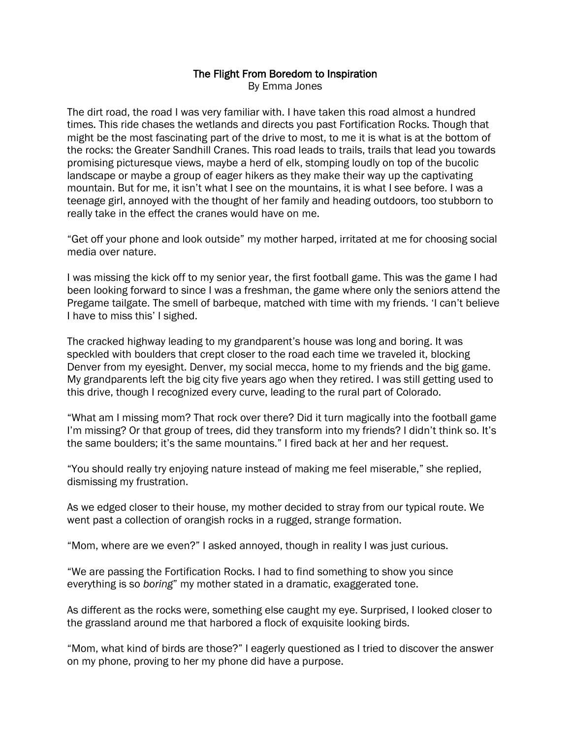## The Flight From Boredom to Inspiration

By Emma Jones

The dirt road, the road I was very familiar with. I have taken this road almost a hundred times. This ride chases the wetlands and directs you past Fortification Rocks. Though that might be the most fascinating part of the drive to most, to me it is what is at the bottom of the rocks: the Greater Sandhill Cranes. This road leads to trails, trails that lead you towards promising picturesque views, maybe a herd of elk, stomping loudly on top of the bucolic landscape or maybe a group of eager hikers as they make their way up the captivating mountain. But for me, it isn't what I see on the mountains, it is what I see before. I was a teenage girl, annoyed with the thought of her family and heading outdoors, too stubborn to really take in the effect the cranes would have on me.

"Get off your phone and look outside" my mother harped, irritated at me for choosing social media over nature.

I was missing the kick off to my senior year, the first football game. This was the game I had been looking forward to since I was a freshman, the game where only the seniors attend the Pregame tailgate. The smell of barbeque, matched with time with my friends. 'I can't believe I have to miss this' I sighed.

The cracked highway leading to my grandparent's house was long and boring. It was speckled with boulders that crept closer to the road each time we traveled it, blocking Denver from my eyesight. Denver, my social mecca, home to my friends and the big game. My grandparents left the big city five years ago when they retired. I was still getting used to this drive, though I recognized every curve, leading to the rural part of Colorado.

"What am I missing mom? That rock over there? Did it turn magically into the football game I'm missing? Or that group of trees, did they transform into my friends? I didn't think so. It's the same boulders; it's the same mountains." I fired back at her and her request.

"You should really try enjoying nature instead of making me feel miserable," she replied, dismissing my frustration.

As we edged closer to their house, my mother decided to stray from our typical route. We went past a collection of orangish rocks in a rugged, strange formation.

"Mom, where are we even?" I asked annoyed, though in reality I was just curious.

"We are passing the Fortification Rocks. I had to find something to show you since everything is so *boring*" my mother stated in a dramatic, exaggerated tone.

As different as the rocks were, something else caught my eye. Surprised, I looked closer to the grassland around me that harbored a flock of exquisite looking birds.

"Mom, what kind of birds are those?" I eagerly questioned as I tried to discover the answer on my phone, proving to her my phone did have a purpose.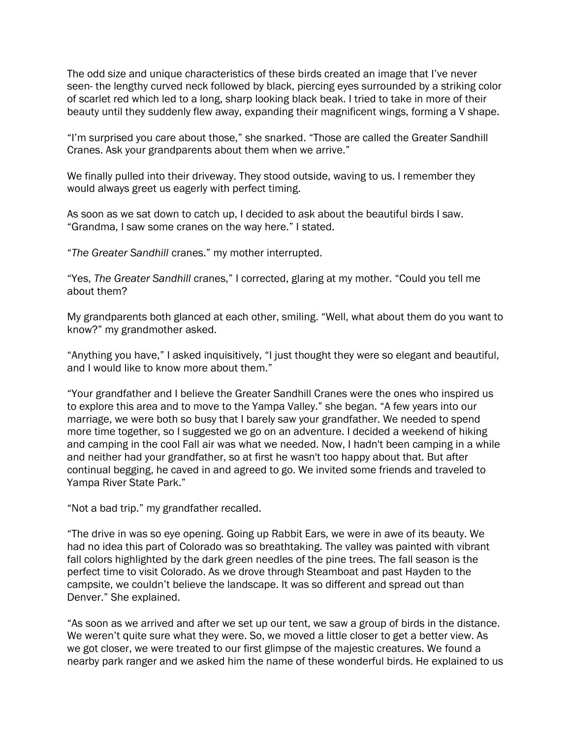The odd size and unique characteristics of these birds created an image that I've never seen- the lengthy curved neck followed by black, piercing eyes surrounded by a striking color of scarlet red which led to a long, sharp looking black beak. I tried to take in more of their beauty until they suddenly flew away, expanding their magnificent wings, forming a V shape.

"I'm surprised you care about those," she snarked. "Those are called the Greater Sandhill Cranes. Ask your grandparents about them when we arrive."

We finally pulled into their driveway. They stood outside, waving to us. I remember they would always greet us eagerly with perfect timing.

As soon as we sat down to catch up, I decided to ask about the beautiful birds I saw. "Grandma, I saw some cranes on the way here." I stated.

"*The Greater Sandhill* cranes." my mother interrupted.

"Yes, *The Greater Sandhill* cranes," I corrected, glaring at my mother. "Could you tell me about them?

My grandparents both glanced at each other, smiling. "Well, what about them do you want to know?" my grandmother asked.

"Anything you have," I asked inquisitively, "I just thought they were so elegant and beautiful, and I would like to know more about them."

"Your grandfather and I believe the Greater Sandhill Cranes were the ones who inspired us to explore this area and to move to the Yampa Valley." she began. "A few years into our marriage, we were both so busy that I barely saw your grandfather. We needed to spend more time together, so I suggested we go on an adventure. I decided a weekend of hiking and camping in the cool Fall air was what we needed. Now, I hadn't been camping in a while and neither had your grandfather, so at first he wasn't too happy about that. But after continual begging, he caved in and agreed to go. We invited some friends and traveled to Yampa River State Park."

"Not a bad trip." my grandfather recalled.

"The drive in was so eye opening. Going up Rabbit Ears, we were in awe of its beauty. We had no idea this part of Colorado was so breathtaking. The valley was painted with vibrant fall colors highlighted by the dark green needles of the pine trees. The fall season is the perfect time to visit Colorado. As we drove through Steamboat and past Hayden to the campsite, we couldn't believe the landscape. It was so different and spread out than Denver." She explained.

"As soon as we arrived and after we set up our tent, we saw a group of birds in the distance. We weren't quite sure what they were. So, we moved a little closer to get a better view. As we got closer, we were treated to our first glimpse of the majestic creatures. We found a nearby park ranger and we asked him the name of these wonderful birds. He explained to us